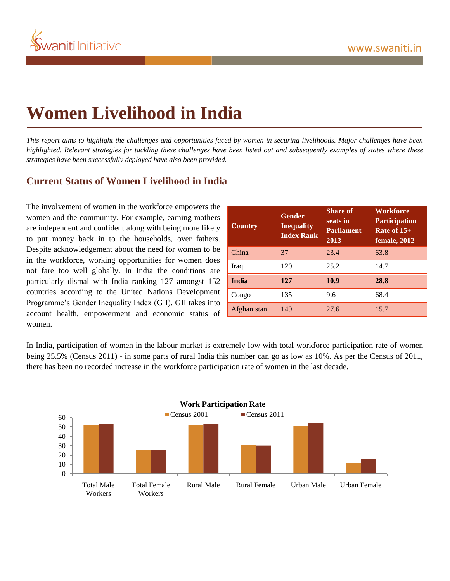

# **Women Livelihood in India**

*This report aims to highlight the challenges and opportunities faced by women in securing livelihoods. Major challenges have been highlighted. Relevant strategies for tackling these challenges have been listed out and subsequently examples of states where these strategies have been successfully deployed have also been provided.* 

# **Current Status of Women Livelihood in India**

The involvement of women in the workforce empowers the women and the community. For example, earning mothers are independent and confident along with being more likely to put money back in to the households, over fathers. Despite acknowledgement about the need for women to be in the workforce, working opportunities for women does not fare too well globally. In India the conditions are particularly dismal with India ranking 127 amongst 152 countries according to the United Nations Development Programme's Gender Inequality Index (GII). GII takes into account health, empowerment and economic status of women.

| <b>Country</b> | <b>Gender</b><br><b>Inequality</b><br><b>Index Rank</b> | <b>Share of</b><br>seats in<br><b>Parliament</b><br>2013 | <b>Workforce</b><br><b>Participation</b><br>Rate of $15+$<br>female, 2012 |
|----------------|---------------------------------------------------------|----------------------------------------------------------|---------------------------------------------------------------------------|
| China          | 37                                                      | 23.4                                                     | 63.8                                                                      |
| Iraq           | 120                                                     | 25.2                                                     | 14.7                                                                      |
| India          | 127                                                     | 10.9                                                     | 28.8                                                                      |
| Congo          | 135                                                     | 9.6                                                      | 68.4                                                                      |
| Afghanistan    | 149                                                     | 27.6                                                     | 15.7                                                                      |

In India, participation of women in the labour market is extremely low with total workforce participation rate of women being 25.5% (Census 2011) - in some parts of rural India this number can go as low as 10%. As per the Census of 2011, there has been no recorded increase in the workforce participation rate of women in the last decade.

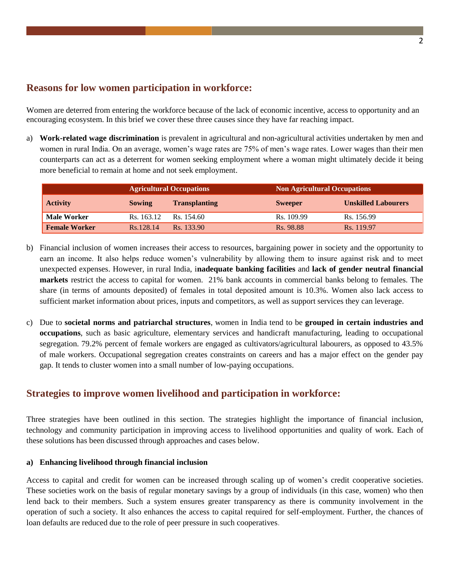# **Reasons for low women participation in workforce:**

Women are deterred from entering the workforce because of the lack of economic incentive, access to opportunity and an encouraging ecosystem. In this brief we cover these three causes since they have far reaching impact.

a) **Work-related wage discrimination** is prevalent in agricultural and non-agricultural activities undertaken by men and women in rural India. On an average, women's wage rates are 75% of men's wage rates. Lower wages than their men counterparts can act as a deterrent for women seeking employment where a woman might ultimately decide it being more beneficial to remain at home and not seek employment.

|                      | <b>Agricultural Occupations</b> |                      | <b>Non Agricultural Occupations</b> |                            |
|----------------------|---------------------------------|----------------------|-------------------------------------|----------------------------|
| <b>Activity</b>      | <b>Sowing</b>                   | <b>Transplanting</b> | <b>Sweeper</b>                      | <b>Unskilled Labourers</b> |
| <b>Male Worker</b>   | Rs. 163.12                      | Rs. 154.60           | Rs. 109.99                          | Rs. 156.99                 |
| <b>Female Worker</b> | Rs.128.14                       | Rs. 133.90           | Rs. 98.88                           | Rs. 119.97                 |

- b) Financial inclusion of women increases their access to resources, bargaining power in society and the opportunity to earn an income. It also helps reduce women's vulnerability by allowing them to insure against risk and to meet unexpected expenses. However, in rural India, i**nadequate banking facilities** and **lack of gender neutral financial markets** restrict the access to capital for women. 21% bank accounts in commercial banks belong to females. The share (in terms of amounts deposited) of females in total deposited amount is 10.3%. Women also lack access to sufficient market information about prices, inputs and competitors, as well as support services they can leverage.
- c) Due to **societal norms and patriarchal structures**, women in India tend to be **grouped in certain industries and occupations**, such as basic agriculture, elementary services and handicraft manufacturing, leading to occupational segregation. 79.2% percent of female workers are engaged as cultivators/agricultural labourers, as opposed to 43.5% of male workers. Occupational segregation creates constraints on careers and has a major effect on the gender pay gap. It tends to cluster women into a small number of low-paying occupations.

# **Strategies to improve women livelihood and participation in workforce:**

Three strategies have been outlined in this section. The strategies highlight the importance of financial inclusion, technology and community participation in improving access to livelihood opportunities and quality of work. Each of these solutions has been discussed through approaches and cases below.

## **a) Enhancing livelihood through financial inclusion**

Access to capital and credit for women can be increased through scaling up of women's credit cooperative societies. These societies work on the basis of regular monetary savings by a group of individuals (in this case, women) who then lend back to their members. Such a system ensures greater transparency as there is community involvement in the operation of such a society. It also enhances the access to capital required for self-employment. Further, the chances of loan defaults are reduced due to the role of peer pressure in such cooperatives.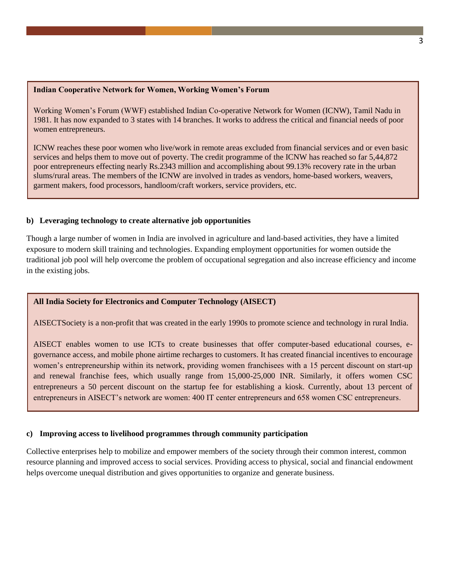#### **Indian Cooperative Network for Women, Working Women's Forum**

Working Women's Forum (WWF) established Indian Co-operative Network for Women (ICNW), Tamil Nadu in 1981. It has now expanded to 3 states with 14 branches. It works to address the critical and financial needs of poor women entrepreneurs.

ICNW reaches these poor women who live/work in remote areas excluded from financial services and or even basic services and helps them to move out of poverty. The credit programme of the ICNW has reached so far 5,44,872 poor entrepreneurs effecting nearly Rs.2343 million and accomplishing about 99.13% recovery rate in the urban slums/rural areas. The members of the ICNW are involved in trades as vendors, home-based workers, weavers, garment makers, food processors, handloom/craft workers, service providers, etc.

### **b) Leveraging technology to create alternative job opportunities**

Though a large number of women in India are involved in agriculture and land-based activities, they have a limited exposure to modern skill training and technologies. Expanding employment opportunities for women outside the traditional job pool will help overcome the problem of occupational segregation and also increase efficiency and income in the existing jobs.

## **All India Society for Electronics and Computer Technology (AISECT)**

AISECTSociety is a non-profit that was created in the early 1990s to promote science and technology in rural India.

AISECT enables women to use ICTs to create businesses that offer computer-based educational courses, egovernance access, and mobile phone airtime recharges to customers. It has created financial incentives to encourage women's entrepreneurship within its network, providing women franchisees with a 15 percent discount on start-up and renewal franchise fees, which usually range from 15,000-25,000 INR. Similarly, it offers women CSC entrepreneurs a 50 percent discount on the startup fee for establishing a kiosk. Currently, about 13 percent of entrepreneurs in AISECT's network are women: 400 IT center entrepreneurs and 658 women CSC entrepreneurs.

## **c) Improving access to livelihood programmes through community participation**

Collective enterprises help to mobilize and empower members of the society through their common interest, common resource planning and improved access to social services. Providing access to physical, social and financial endowment helps overcome unequal distribution and gives opportunities to organize and generate business.